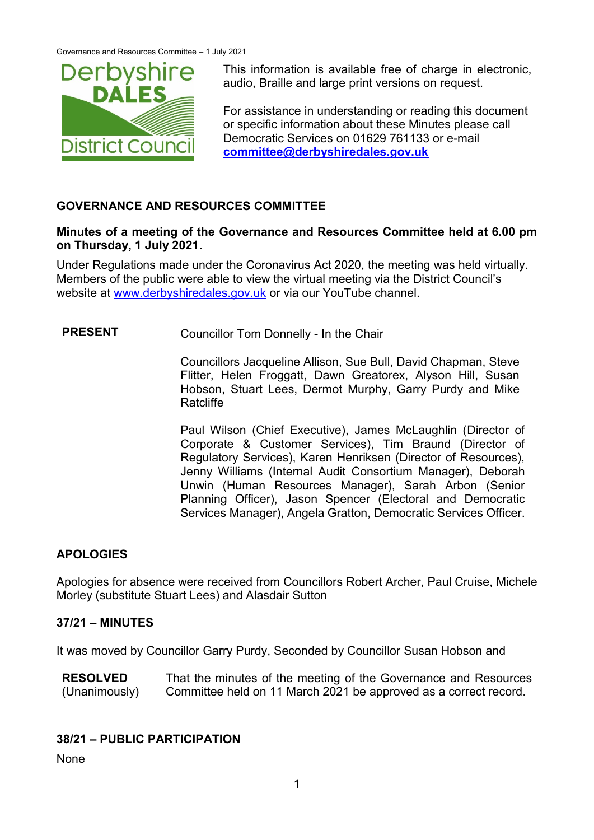

This information is available free of charge in electronic, audio, Braille and large print versions on request.

For assistance in understanding or reading this document or specific information about these Minutes please call Democratic Services on 01629 761133 or e-mail **[committee@derbyshiredales.gov.uk](mailto:committee@derbyshiredales.gov.uk)**

## **GOVERNANCE AND RESOURCES COMMITTEE**

## **Minutes of a meeting of the Governance and Resources Committee held at 6.00 pm on Thursday, 1 July 2021.**

Under Regulations made under the Coronavirus Act 2020, the meeting was held virtually. Members of the public were able to view the virtual meeting via the District Council's website at [www.derbyshiredales.gov.uk](http://www.derbyshiredales.gov.uk/) or via our YouTube channel.

**PRESENT** Councillor Tom Donnelly - In the Chair

Councillors Jacqueline Allison, Sue Bull, David Chapman, Steve Flitter, Helen Froggatt, Dawn Greatorex, Alyson Hill, Susan Hobson, Stuart Lees, Dermot Murphy, Garry Purdy and Mike **Ratcliffe** 

Paul Wilson (Chief Executive), James McLaughlin (Director of Corporate & Customer Services), Tim Braund (Director of Regulatory Services), Karen Henriksen (Director of Resources), Jenny Williams (Internal Audit Consortium Manager), Deborah Unwin (Human Resources Manager), Sarah Arbon (Senior Planning Officer), Jason Spencer (Electoral and Democratic Services Manager), Angela Gratton, Democratic Services Officer.

# **APOLOGIES**

Apologies for absence were received from Councillors Robert Archer, Paul Cruise, Michele Morley (substitute Stuart Lees) and Alasdair Sutton

## **37/21 – MINUTES**

It was moved by Councillor Garry Purdy, Seconded by Councillor Susan Hobson and

**RESOLVED** (Unanimously) That the minutes of the meeting of the Governance and Resources Committee held on 11 March 2021 be approved as a correct record.

## **38/21 – PUBLIC PARTICIPATION**

None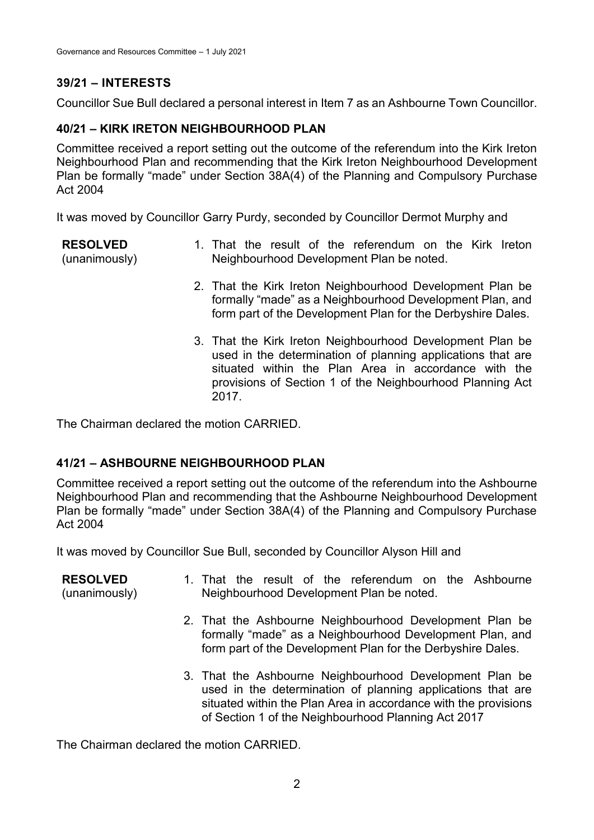# **39/21 – INTERESTS**

Councillor Sue Bull declared a personal interest in Item 7 as an Ashbourne Town Councillor.

# **40/21 – KIRK IRETON NEIGHBOURHOOD PLAN**

Committee received a report setting out the outcome of the referendum into the Kirk Ireton Neighbourhood Plan and recommending that the Kirk Ireton Neighbourhood Development Plan be formally "made" under Section 38A(4) of the Planning and Compulsory Purchase Act 2004

It was moved by Councillor Garry Purdy, seconded by Councillor Dermot Murphy and

**RESOLVED** (unanimously) 1. That the result of the referendum on the Kirk Ireton Neighbourhood Development Plan be noted. 2. That the Kirk Ireton Neighbourhood Development Plan be formally "made" as a Neighbourhood Development Plan, and form part of the Development Plan for the Derbyshire Dales. 3. That the Kirk Ireton Neighbourhood Development Plan be

used in the determination of planning applications that are situated within the Plan Area in accordance with the provisions of Section 1 of the Neighbourhood Planning Act 2017.

The Chairman declared the motion CARRIED.

# **41/21 – ASHBOURNE NEIGHBOURHOOD PLAN**

Committee received a report setting out the outcome of the referendum into the Ashbourne Neighbourhood Plan and recommending that the Ashbourne Neighbourhood Development Plan be formally "made" under Section 38A(4) of the Planning and Compulsory Purchase Act 2004

It was moved by Councillor Sue Bull, seconded by Councillor Alyson Hill and

| <b>RESOLVED</b><br>(unanimously) | 1. That the result of the referendum on the Ashbourne<br>Neighbourhood Development Plan be noted.                                                                                                                                                |
|----------------------------------|--------------------------------------------------------------------------------------------------------------------------------------------------------------------------------------------------------------------------------------------------|
|                                  | 2. That the Ashbourne Neighbourhood Development Plan be<br>formally "made" as a Neighbourhood Development Plan, and<br>form part of the Development Plan for the Derbyshire Dales.                                                               |
|                                  | 3. That the Ashbourne Neighbourhood Development Plan be<br>used in the determination of planning applications that are<br>situated within the Plan Area in accordance with the provisions<br>of Section 1 of the Neighbourhood Planning Act 2017 |

The Chairman declared the motion CARRIED.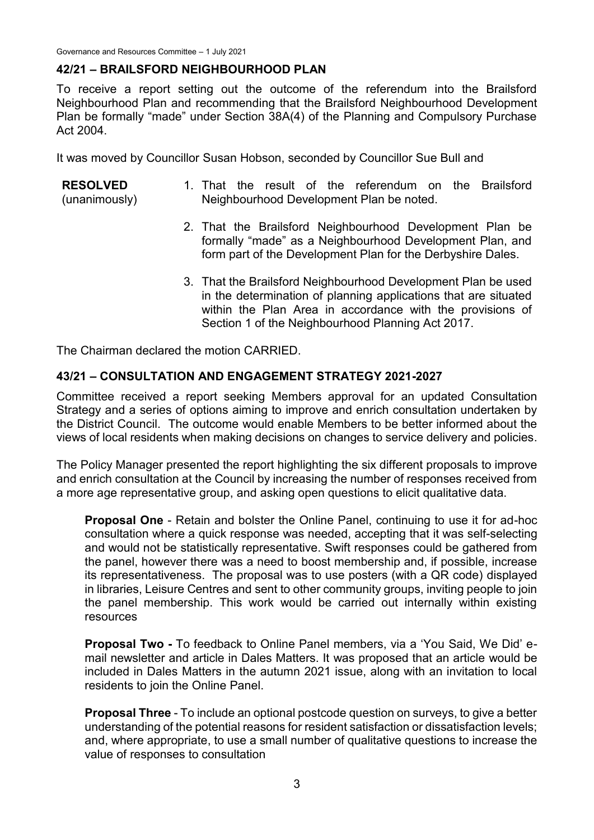## **42/21 – BRAILSFORD NEIGHBOURHOOD PLAN**

To receive a report setting out the outcome of the referendum into the Brailsford Neighbourhood Plan and recommending that the Brailsford Neighbourhood Development Plan be formally "made" under Section 38A(4) of the Planning and Compulsory Purchase Act 2004.

It was moved by Councillor Susan Hobson, seconded by Councillor Sue Bull and

#### **RESOLVED** (unanimously) 1. That the result of the referendum on the Brailsford Neighbourhood Development Plan be noted.

- 2. That the Brailsford Neighbourhood Development Plan be formally "made" as a Neighbourhood Development Plan, and form part of the Development Plan for the Derbyshire Dales.
- 3. That the Brailsford Neighbourhood Development Plan be used in the determination of planning applications that are situated within the Plan Area in accordance with the provisions of Section 1 of the Neighbourhood Planning Act 2017.

The Chairman declared the motion CARRIED.

#### **43/21 – CONSULTATION AND ENGAGEMENT STRATEGY 2021-2027**

Committee received a report seeking Members approval for an updated Consultation Strategy and a series of options aiming to improve and enrich consultation undertaken by the District Council. The outcome would enable Members to be better informed about the views of local residents when making decisions on changes to service delivery and policies.

The Policy Manager presented the report highlighting the six different proposals to improve and enrich consultation at the Council by increasing the number of responses received from a more age representative group, and asking open questions to elicit qualitative data.

**Proposal One** - Retain and bolster the Online Panel, continuing to use it for ad-hoc consultation where a quick response was needed, accepting that it was self-selecting and would not be statistically representative. Swift responses could be gathered from the panel, however there was a need to boost membership and, if possible, increase its representativeness. The proposal was to use posters (with a QR code) displayed in libraries, Leisure Centres and sent to other community groups, inviting people to join the panel membership. This work would be carried out internally within existing resources

**Proposal Two -** To feedback to Online Panel members, via a 'You Said, We Did' email newsletter and article in Dales Matters. It was proposed that an article would be included in Dales Matters in the autumn 2021 issue, along with an invitation to local residents to join the Online Panel.

**Proposal Three** - To include an optional postcode question on surveys, to give a better understanding of the potential reasons for resident satisfaction or dissatisfaction levels; and, where appropriate, to use a small number of qualitative questions to increase the value of responses to consultation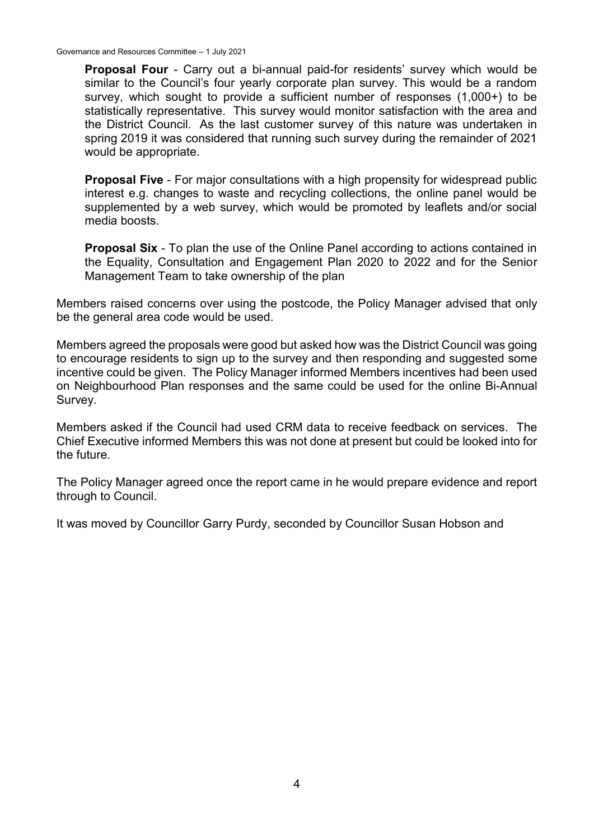Governance and Resources Committee – 1 July 2021

**Proposal Four** - Carry out a bi-annual paid-for residents' survey which would be similar to the Council's four yearly corporate plan survey. This would be a random survey, which sought to provide a sufficient number of responses (1,000+) to be statistically representative. This survey would monitor satisfaction with the area and the District Council. As the last customer survey of this nature was undertaken in spring 2019 it was considered that running such survey during the remainder of 2021 would be appropriate.

**Proposal Five** - For major consultations with a high propensity for widespread public interest e.g. changes to waste and recycling collections, the online panel would be supplemented by a web survey, which would be promoted by leaflets and/or social media boosts.

**Proposal Six** - To plan the use of the Online Panel according to actions contained in the Equality, Consultation and Engagement Plan 2020 to 2022 and for the Senior Management Team to take ownership of the plan

Members raised concerns over using the postcode, the Policy Manager advised that only be the general area code would be used.

Members agreed the proposals were good but asked how was the District Council was going to encourage residents to sign up to the survey and then responding and suggested some incentive could be given. The Policy Manager informed Members incentives had been used on Neighbourhood Plan responses and the same could be used for the online Bi-Annual Survey.

Members asked if the Council had used CRM data to receive feedback on services. The Chief Executive informed Members this was not done at present but could be looked into for the future.

The Policy Manager agreed once the report came in he would prepare evidence and report through to Council.

It was moved by Councillor Garry Purdy, seconded by Councillor Susan Hobson and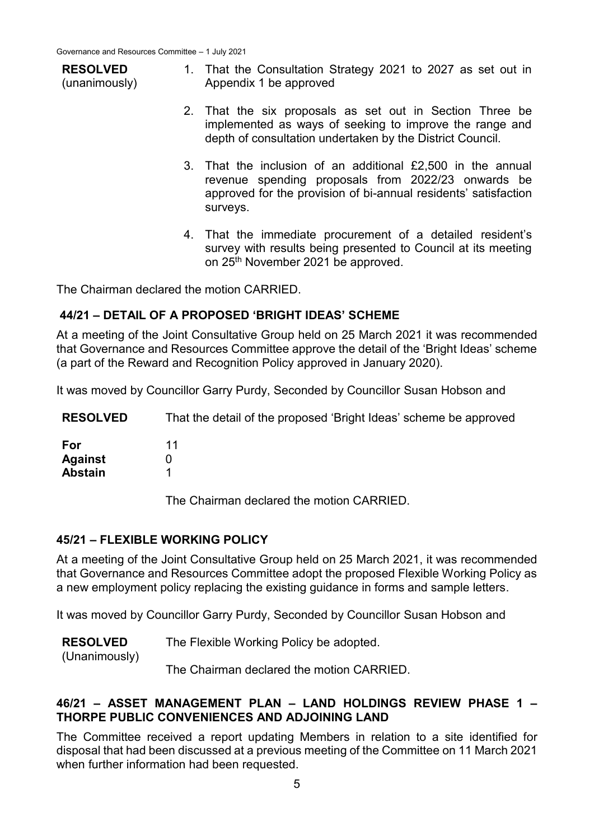| <b>RESOLVED</b><br>(unanimously) | 1. That the Consultation Strategy 2021 to 2027 as set out in<br>Appendix 1 be approved |
|----------------------------------|----------------------------------------------------------------------------------------|
|                                  |                                                                                        |

- 2. That the six proposals as set out in Section Three be implemented as ways of seeking to improve the range and depth of consultation undertaken by the District Council.
- 3. That the inclusion of an additional £2,500 in the annual revenue spending proposals from 2022/23 onwards be approved for the provision of bi-annual residents' satisfaction surveys.
- 4. That the immediate procurement of a detailed resident's survey with results being presented to Council at its meeting on 25<sup>th</sup> November 2021 be approved.

The Chairman declared the motion CARRIED.

#### **44/21 – DETAIL OF A PROPOSED 'BRIGHT IDEAS' SCHEME**

At a meeting of the Joint Consultative Group held on 25 March 2021 it was recommended that Governance and Resources Committee approve the detail of the 'Bright Ideas' scheme (a part of the Reward and Recognition Policy approved in January 2020).

It was moved by Councillor Garry Purdy, Seconded by Councillor Susan Hobson and

**RESOLVED For Against** That the detail of the proposed 'Bright Ideas' scheme be approved 11  $\Omega$ 

| Agamst         |  |
|----------------|--|
| <b>Abstain</b> |  |

The Chairman declared the motion CARRIED.

#### **45/21 – FLEXIBLE WORKING POLICY**

At a meeting of the Joint Consultative Group held on 25 March 2021, it was recommended that Governance and Resources Committee adopt the proposed Flexible Working Policy as a new employment policy replacing the existing guidance in forms and sample letters.

It was moved by Councillor Garry Purdy, Seconded by Councillor Susan Hobson and

(Unanimously)

The Chairman declared the motion CARRIED.

## **46/21 – ASSET MANAGEMENT PLAN – LAND HOLDINGS REVIEW PHASE 1 – THORPE PUBLIC CONVENIENCES AND ADJOINING LAND**

The Committee received a report updating Members in relation to a site identified for disposal that had been discussed at a previous meeting of the Committee on 11 March 2021 when further information had been requested.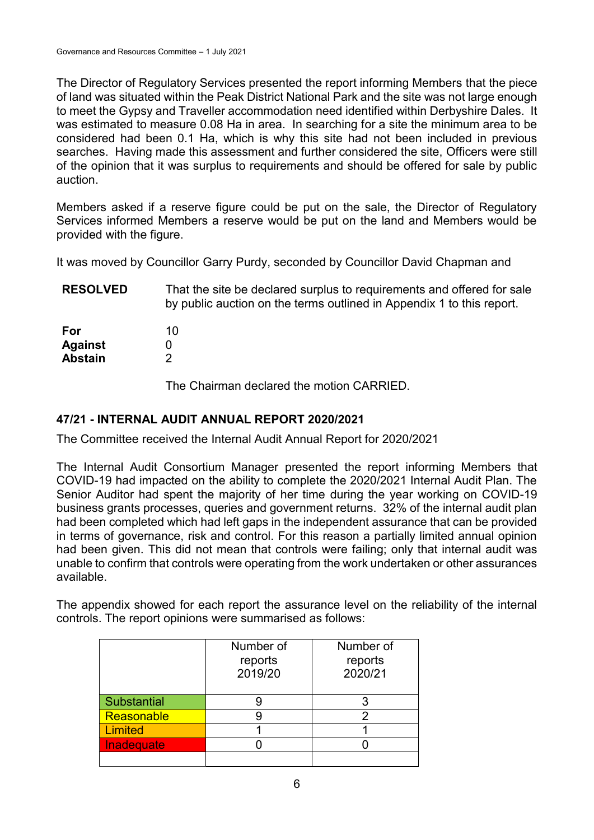The Director of Regulatory Services presented the report informing Members that the piece of land was situated within the Peak District National Park and the site was not large enough to meet the Gypsy and Traveller accommodation need identified within Derbyshire Dales. It was estimated to measure 0.08 Ha in area. In searching for a site the minimum area to be considered had been 0.1 Ha, which is why this site had not been included in previous searches. Having made this assessment and further considered the site, Officers were still of the opinion that it was surplus to requirements and should be offered for sale by public auction.

Members asked if a reserve figure could be put on the sale, the Director of Regulatory Services informed Members a reserve would be put on the land and Members would be provided with the figure.

It was moved by Councillor Garry Purdy, seconded by Councillor David Chapman and

| <b>RESOLVED</b> | That the site be declared surplus to requirements and offered for sale<br>by public auction on the terms outlined in Appendix 1 to this report. |
|-----------------|-------------------------------------------------------------------------------------------------------------------------------------------------|
| For             | 10                                                                                                                                              |
| <b>Against</b>  |                                                                                                                                                 |
| <b>Abstain</b>  |                                                                                                                                                 |

The Chairman declared the motion CARRIED.

# **47/21 - INTERNAL AUDIT ANNUAL REPORT 2020/2021**

The Committee received the Internal Audit Annual Report for 2020/2021

The Internal Audit Consortium Manager presented the report informing Members that COVID-19 had impacted on the ability to complete the 2020/2021 Internal Audit Plan. The Senior Auditor had spent the majority of her time during the year working on COVID-19 business grants processes, queries and government returns. 32% of the internal audit plan had been completed which had left gaps in the independent assurance that can be provided in terms of governance, risk and control. For this reason a partially limited annual opinion had been given. This did not mean that controls were failing; only that internal audit was unable to confirm that controls were operating from the work undertaken or other assurances available.

The appendix showed for each report the assurance level on the reliability of the internal controls. The report opinions were summarised as follows:

|                    | Number of<br>reports<br>2019/20 | Number of<br>reports<br>2020/21 |
|--------------------|---------------------------------|---------------------------------|
| <b>Substantial</b> |                                 |                                 |
| Reasonable         |                                 | 2                               |
| <b>Limited</b>     |                                 |                                 |
| Inadequate         |                                 |                                 |
|                    |                                 |                                 |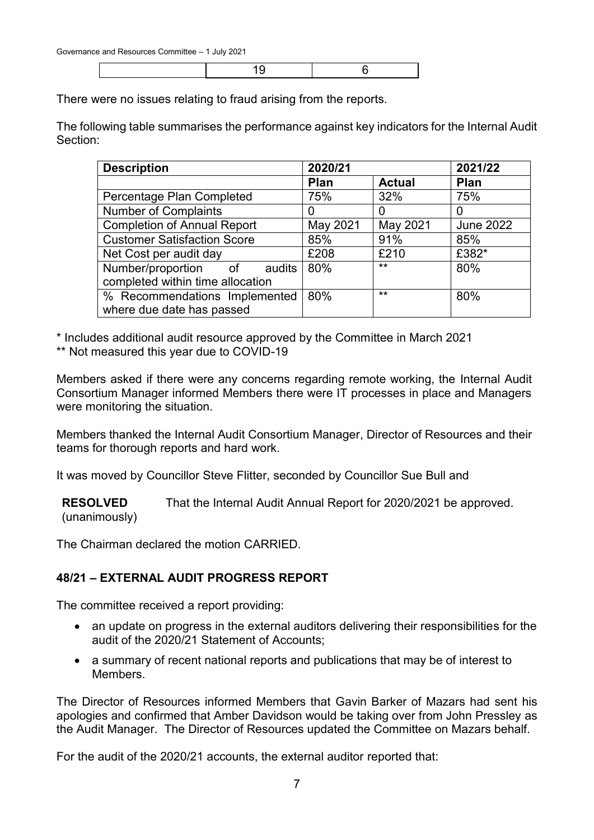19 6

There were no issues relating to fraud arising from the reports.

The following table summarises the performance against key indicators for the Internal Audit Section:

| <b>Description</b>                 | 2020/21     | 2021/22       |                  |
|------------------------------------|-------------|---------------|------------------|
|                                    | <b>Plan</b> | <b>Actual</b> | <b>Plan</b>      |
| Percentage Plan Completed          | 75%         | 32%           | 75%              |
| <b>Number of Complaints</b>        | $\Omega$    |               | O                |
| <b>Completion of Annual Report</b> | May 2021    | May 2021      | <b>June 2022</b> |
| <b>Customer Satisfaction Score</b> | 85%         | 91%           | 85%              |
| Net Cost per audit day             | £208        | £210          | £382*            |
| Number/proportion of<br>audits     | 80%         | $***$         | 80%              |
| completed within time allocation   |             |               |                  |
| % Recommendations Implemented      | 80%         | $**$          | 80%              |
| where due date has passed          |             |               |                  |

\* Includes additional audit resource approved by the Committee in March 2021

\*\* Not measured this year due to COVID-19

Members asked if there were any concerns regarding remote working, the Internal Audit Consortium Manager informed Members there were IT processes in place and Managers were monitoring the situation.

Members thanked the Internal Audit Consortium Manager, Director of Resources and their teams for thorough reports and hard work.

It was moved by Councillor Steve Flitter, seconded by Councillor Sue Bull and

**RESOLVED** (unanimously) That the Internal Audit Annual Report for 2020/2021 be approved.

The Chairman declared the motion CARRIED.

## **48/21 – EXTERNAL AUDIT PROGRESS REPORT**

The committee received a report providing:

- an update on progress in the external auditors delivering their responsibilities for the audit of the 2020/21 Statement of Accounts;
- a summary of recent national reports and publications that may be of interest to Members<sup>1</sup>

The Director of Resources informed Members that Gavin Barker of Mazars had sent his apologies and confirmed that Amber Davidson would be taking over from John Pressley as the Audit Manager. The Director of Resources updated the Committee on Mazars behalf.

For the audit of the 2020/21 accounts, the external auditor reported that: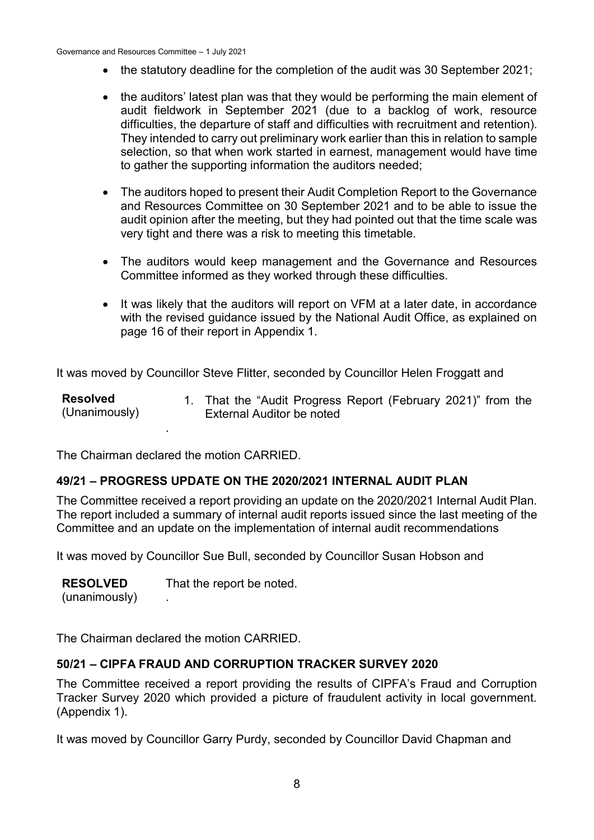- the statutory deadline for the completion of the audit was 30 September 2021;
- the auditors' latest plan was that they would be performing the main element of audit fieldwork in September 2021 (due to a backlog of work, resource difficulties, the departure of staff and difficulties with recruitment and retention). They intended to carry out preliminary work earlier than this in relation to sample selection, so that when work started in earnest, management would have time to gather the supporting information the auditors needed;
- The auditors hoped to present their Audit Completion Report to the Governance and Resources Committee on 30 September 2021 and to be able to issue the audit opinion after the meeting, but they had pointed out that the time scale was very tight and there was a risk to meeting this timetable.
- The auditors would keep management and the Governance and Resources Committee informed as they worked through these difficulties.
- It was likely that the auditors will report on VFM at a later date, in accordance with the revised guidance issued by the National Audit Office, as explained on page 16 of their report in Appendix 1.

It was moved by Councillor Steve Flitter, seconded by Councillor Helen Froggatt and

| <b>Resolved</b><br>(Unanimously) | 1. That the "Audit Progress Report (February 2021)" from the<br>External Auditor be noted |
|----------------------------------|-------------------------------------------------------------------------------------------|
|                                  |                                                                                           |

The Chairman declared the motion CARRIED.

## **49/21 – PROGRESS UPDATE ON THE 2020/2021 INTERNAL AUDIT PLAN**

The Committee received a report providing an update on the 2020/2021 Internal Audit Plan. The report included a summary of internal audit reports issued since the last meeting of the Committee and an update on the implementation of internal audit recommendations

It was moved by Councillor Sue Bull, seconded by Councillor Susan Hobson and

**RESOLVED** (unanimously) That the report be noted. .

The Chairman declared the motion CARRIED.

#### **50/21 – CIPFA FRAUD AND CORRUPTION TRACKER SURVEY 2020**

The Committee received a report providing the results of CIPFA's Fraud and Corruption Tracker Survey 2020 which provided a picture of fraudulent activity in local government. (Appendix 1).

It was moved by Councillor Garry Purdy, seconded by Councillor David Chapman and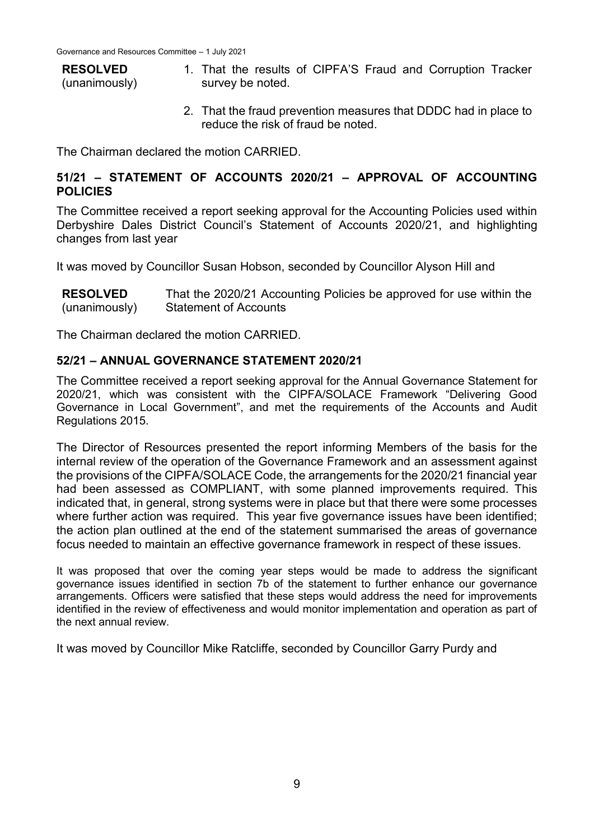#### **RESOLVED** (unanimously) 1. That the results of CIPFA'S Fraud and Corruption Tracker survey be noted.

2. That the fraud prevention measures that DDDC had in place to reduce the risk of fraud be noted.

The Chairman declared the motion CARRIED.

# **51/21 – STATEMENT OF ACCOUNTS 2020/21 – APPROVAL OF ACCOUNTING POLICIES**

The Committee received a report seeking approval for the Accounting Policies used within Derbyshire Dales District Council's Statement of Accounts 2020/21, and highlighting changes from last year

It was moved by Councillor Susan Hobson, seconded by Councillor Alyson Hill and

| <b>RESOLVED</b> | That the 2020/21 Accounting Policies be approved for use within the |
|-----------------|---------------------------------------------------------------------|
| (unanimously)   | <b>Statement of Accounts</b>                                        |

The Chairman declared the motion CARRIED.

## **52/21 – ANNUAL GOVERNANCE STATEMENT 2020/21**

The Committee received a report seeking approval for the Annual Governance Statement for 2020/21, which was consistent with the CIPFA/SOLACE Framework "Delivering Good Governance in Local Government", and met the requirements of the Accounts and Audit Regulations 2015.

The Director of Resources presented the report informing Members of the basis for the internal review of the operation of the Governance Framework and an assessment against the provisions of the CIPFA/SOLACE Code, the arrangements for the 2020/21 financial year had been assessed as COMPLIANT, with some planned improvements required. This indicated that, in general, strong systems were in place but that there were some processes where further action was required. This year five governance issues have been identified; the action plan outlined at the end of the statement summarised the areas of governance focus needed to maintain an effective governance framework in respect of these issues.

It was proposed that over the coming year steps would be made to address the significant governance issues identified in section 7b of the statement to further enhance our governance arrangements. Officers were satisfied that these steps would address the need for improvements identified in the review of effectiveness and would monitor implementation and operation as part of the next annual review.

It was moved by Councillor Mike Ratcliffe, seconded by Councillor Garry Purdy and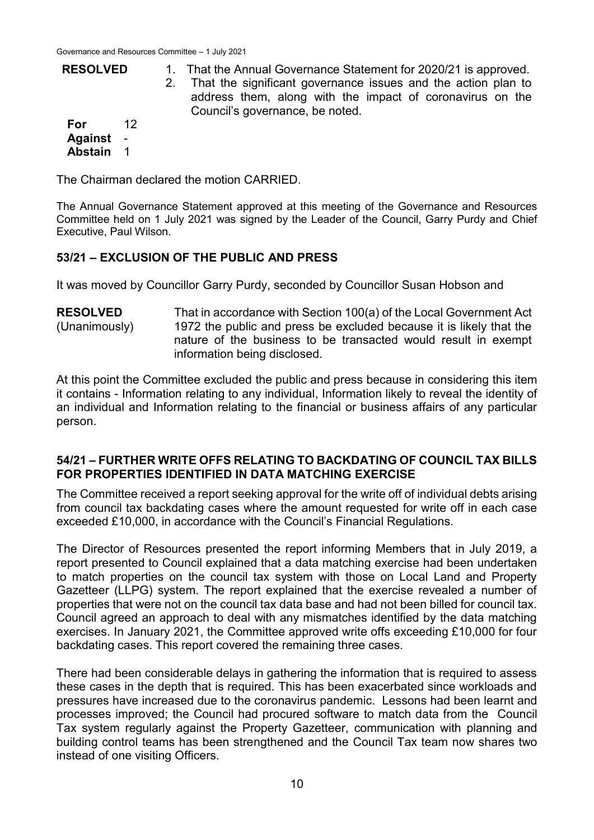| <b>RESOLVED</b>  |     | 1. That the Annual Governance Statement for 2020/21 is approved.<br>2. That the significant governance issues and the action plan to<br>address them, along with the impact of coronavirus on the<br>Council's governance, be noted. |
|------------------|-----|--------------------------------------------------------------------------------------------------------------------------------------------------------------------------------------------------------------------------------------|
| For<br>Against - | -12 |                                                                                                                                                                                                                                      |

The Chairman declared the motion CARRIED.

**Abstain** 1

The Annual Governance Statement approved at this meeting of the Governance and Resources Committee held on 1 July 2021 was signed by the Leader of the Council, Garry Purdy and Chief Executive, Paul Wilson.

## **53/21 – EXCLUSION OF THE PUBLIC AND PRESS**

It was moved by Councillor Garry Purdy, seconded by Councillor Susan Hobson and

**RESOLVED** (Unanimously) That in accordance with Section 100(a) of the Local Government Act 1972 the public and press be excluded because it is likely that the nature of the business to be transacted would result in exempt information being disclosed.

At this point the Committee excluded the public and press because in considering this item it contains - Information relating to any individual, Information likely to reveal the identity of an individual and Information relating to the financial or business affairs of any particular person.

## **54/21 – FURTHER WRITE OFFS RELATING TO BACKDATING OF COUNCIL TAX BILLS FOR PROPERTIES IDENTIFIED IN DATA MATCHING EXERCISE**

The Committee received a report seeking approval for the write off of individual debts arising from council tax backdating cases where the amount requested for write off in each case exceeded £10,000, in accordance with the Council's Financial Regulations.

The Director of Resources presented the report informing Members that in July 2019, a report presented to Council explained that a data matching exercise had been undertaken to match properties on the council tax system with those on Local Land and Property Gazetteer (LLPG) system. The report explained that the exercise revealed a number of properties that were not on the council tax data base and had not been billed for council tax. Council agreed an approach to deal with any mismatches identified by the data matching exercises. In January 2021, the Committee approved write offs exceeding £10,000 for four backdating cases. This report covered the remaining three cases.

There had been considerable delays in gathering the information that is required to assess these cases in the depth that is required. This has been exacerbated since workloads and pressures have increased due to the coronavirus pandemic. Lessons had been learnt and processes improved; the Council had procured software to match data from the Council Tax system regularly against the Property Gazetteer, communication with planning and building control teams has been strengthened and the Council Tax team now shares two instead of one visiting Officers.